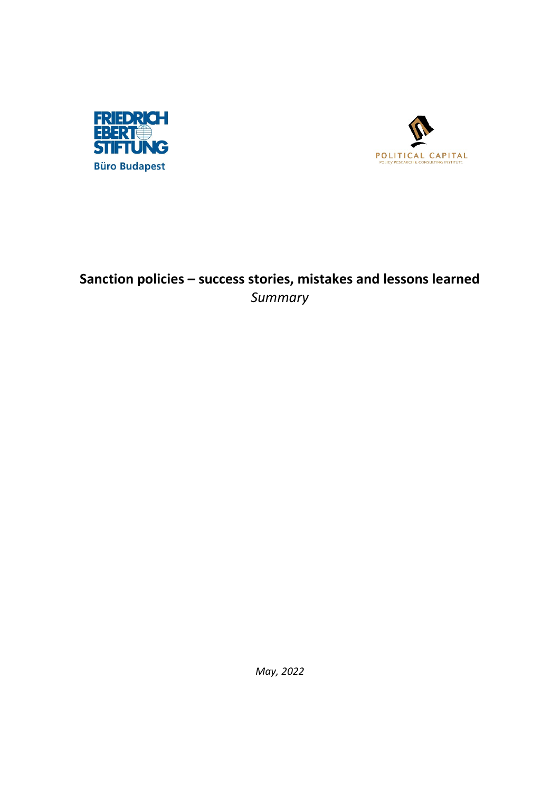



## **Sanction policies – success stories, mistakes and lessons learned** *Summary*

*May, 2022*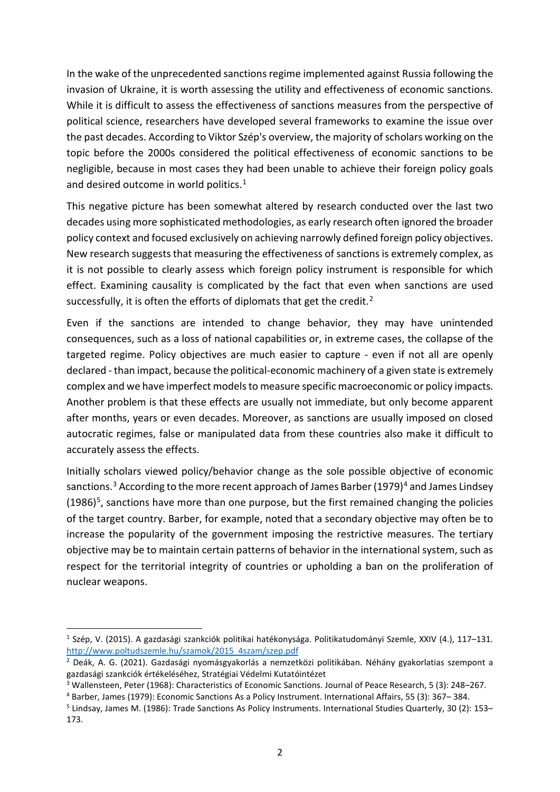In the wake of the unprecedented sanctions regime implemented against Russia following the invasion of Ukraine, it is worth assessing the utility and effectiveness of economic sanctions. While it is difficult to assess the effectiveness of sanctions measures from the perspective of political science, researchers have developed several frameworks to examine the issue over the past decades. According to Viktor Szép's overview, the majority of scholars working on the topic before the 2000s considered the political effectiveness of economic sanctions to be negligible, because in most cases they had been unable to achieve their foreign policy goals and desired outcome in world politics.<sup>[1](#page-1-0)</sup>

This negative picture has been somewhat altered by research conducted over the last two decades using more sophisticated methodologies, as early research often ignored the broader policy context and focused exclusively on achieving narrowly defined foreign policy objectives. New research suggests that measuring the effectiveness of sanctions is extremely complex, as it is not possible to clearly assess which foreign policy instrument is responsible for which effect. Examining causality is complicated by the fact that even when sanctions are used successfully, it is often the efforts of diplomats that get the credit.<sup>[2](#page-1-1)</sup>

Even if the sanctions are intended to change behavior, they may have unintended consequences, such as a loss of national capabilities or, in extreme cases, the collapse of the targeted regime. Policy objectives are much easier to capture - even if not all are openly declared - than impact, because the political-economic machinery of a given state is extremely complex and we have imperfect models to measure specific macroeconomic or policy impacts. Another problem is that these effects are usually not immediate, but only become apparent after months, years or even decades. Moreover, as sanctions are usually imposed on closed autocratic regimes, false or manipulated data from these countries also make it difficult to accurately assess the effects.

Initially scholars viewed policy/behavior change as the sole possible objective of economic sanctions.<sup>[3](#page-1-2)</sup> According to the more recent approach of James Barber (1979)<sup>[4](#page-1-3)</sup> and James Lindsey  $(1986)^5$  $(1986)^5$ , sanctions have more than one purpose, but the first remained changing the policies of the target country. Barber, for example, noted that a secondary objective may often be to increase the popularity of the government imposing the restrictive measures. The tertiary objective may be to maintain certain patterns of behavior in the international system, such as respect for the territorial integrity of countries or upholding a ban on the proliferation of nuclear weapons.

<span id="page-1-0"></span><sup>1</sup> Szép, V. (2015). A gazdasági szankciók politikai hatékonysága. Politikatudományi Szemle, XXIV (4.), 117–131. [http://www.poltudszemle.hu/szamok/2015\\_4szam/szep.pdf](http://www.poltudszemle.hu/szamok/2015_4szam/szep.pdf)

<span id="page-1-1"></span><sup>2</sup> Deák, A. G. (2021). Gazdasági nyomásgyakorlás a nemzetközi politikában. Néhány gyakorlatias szempont a gazdasági szankciók értékeléséhez, Stratégiai Védelmi Kutatóintézet

<span id="page-1-2"></span><sup>3</sup> Wallensteen, Peter (1968): Characteristics of Economic Sanctions. Journal of Peace Research, 5 (3): 248–267.

<span id="page-1-3"></span><sup>4</sup> Barber, James (1979): Economic Sanctions As a Policy Instrument. International Affairs, 55 (3): 367– 384.

<span id="page-1-4"></span><sup>5</sup> Lindsay, James M. (1986): Trade Sanctions As Policy Instruments. International Studies Quarterly, 30 (2): 153– 173.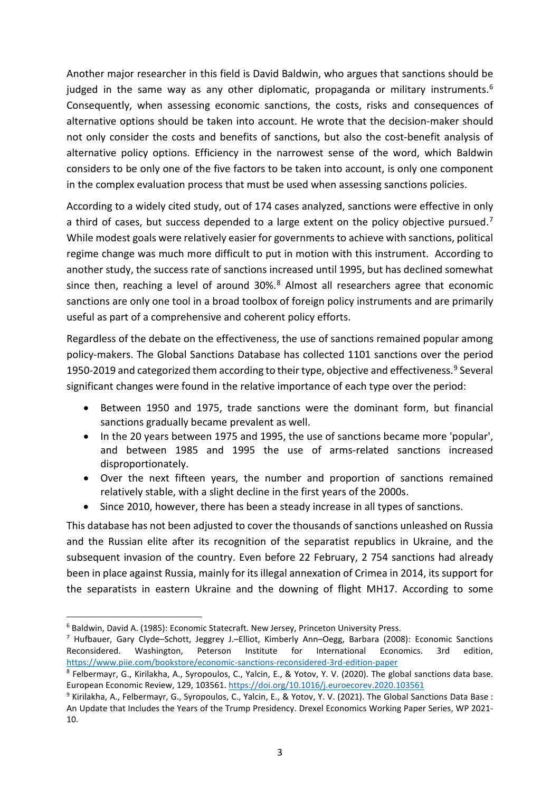Another major researcher in this field is David Baldwin, who argues that sanctions should be judged in the same way as any other diplomatic, propaganda or military instruments.<sup>6</sup> Consequently, when assessing economic sanctions, the costs, risks and consequences of alternative options should be taken into account. He wrote that the decision-maker should not only consider the costs and benefits of sanctions, but also the cost-benefit analysis of alternative policy options. Efficiency in the narrowest sense of the word, which Baldwin considers to be only one of the five factors to be taken into account, is only one component in the complex evaluation process that must be used when assessing sanctions policies.

According to a widely cited study, out of 174 cases analyzed, sanctions were effective in only a third of cases, but success depended to a large extent on the policy objective pursued.<sup>[7](#page-2-1)</sup> While modest goals were relatively easier for governments to achieve with sanctions, political regime change was much more difficult to put in motion with this instrument. According to another study, the success rate of sanctions increased until 1995, but has declined somewhat since then, reaching a level of around  $30\%$ .<sup>[8](#page-2-2)</sup> Almost all researchers agree that economic sanctions are only one tool in a broad toolbox of foreign policy instruments and are primarily useful as part of a comprehensive and coherent policy efforts.

Regardless of the debate on the effectiveness, the use of sanctions remained popular among policy-makers. The Global Sanctions Database has collected 1101 sanctions over the period 1[9](#page-2-3)50-2019 and categorized them according to their type, objective and effectiveness.<sup>9</sup> Several significant changes were found in the relative importance of each type over the period:

- Between 1950 and 1975, trade sanctions were the dominant form, but financial sanctions gradually became prevalent as well.
- In the 20 years between 1975 and 1995, the use of sanctions became more 'popular', and between 1985 and 1995 the use of arms-related sanctions increased disproportionately.
- Over the next fifteen years, the number and proportion of sanctions remained relatively stable, with a slight decline in the first years of the 2000s.
- Since 2010, however, there has been a steady increase in all types of sanctions.

This database has not been adjusted to cover the thousands of sanctions unleashed on Russia and the Russian elite after its recognition of the separatist republics in Ukraine, and the subsequent invasion of the country. Even before 22 February, 2 754 sanctions had already been in place against Russia, mainly for its illegal annexation of Crimea in 2014, its support for the separatists in eastern Ukraine and the downing of flight MH17. According to some

<span id="page-2-0"></span><sup>6</sup> Baldwin, David A. (1985): Economic Statecraft. New Jersey, Princeton University Press.

<span id="page-2-1"></span><sup>&</sup>lt;sup>7</sup> Hufbauer, Gary Clyde–Schott, Jeggrey J.–Elliot, Kimberly Ann–Oegg, Barbara (2008): Economic Sanctions Reconsidered. Washington, Peterson Institute for International Economics. 3rd edition, <https://www.piie.com/bookstore/economic-sanctions-reconsidered-3rd-edition-paper>

<span id="page-2-2"></span><sup>8</sup> Felbermayr, G., Kirilakha, A., Syropoulos, C., Yalcin, E., & Yotov, Y. V. (2020). The global sanctions data base. European Economic Review, 129, 103561.<https://doi.org/10.1016/j.euroecorev.2020.103561>

<span id="page-2-3"></span><sup>9</sup> Kirilakha, A., Felbermayr, G., Syropoulos, C., Yalcin, E., & Yotov, Y. V. (2021). The Global Sanctions Data Base : An Update that Includes the Years of the Trump Presidency. Drexel Economics Working Paper Series, WP 2021- 10.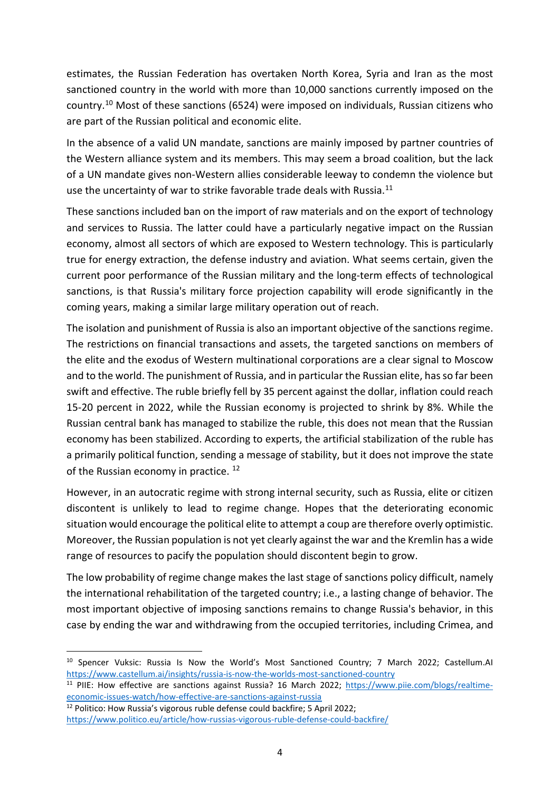estimates, the Russian Federation has overtaken North Korea, Syria and Iran as the most sanctioned country in the world with more than 10,000 sanctions currently imposed on the country.[10](#page-3-0) Most of these sanctions (6524) were imposed on individuals, Russian citizens who are part of the Russian political and economic elite.

In the absence of a valid UN mandate, sanctions are mainly imposed by partner countries of the Western alliance system and its members. This may seem a broad coalition, but the lack of a UN mandate gives non-Western allies considerable leeway to condemn the violence but use the uncertainty of war to strike favorable trade deals with Russia.<sup>[11](#page-3-1)</sup>

These sanctions included ban on the import of raw materials and on the export of technology and services to Russia. The latter could have a particularly negative impact on the Russian economy, almost all sectors of which are exposed to Western technology. This is particularly true for energy extraction, the defense industry and aviation. What seems certain, given the current poor performance of the Russian military and the long-term effects of technological sanctions, is that Russia's military force projection capability will erode significantly in the coming years, making a similar large military operation out of reach.

The isolation and punishment of Russia is also an important objective of the sanctions regime. The restrictions on financial transactions and assets, the targeted sanctions on members of the elite and the exodus of Western multinational corporations are a clear signal to Moscow and to the world. The punishment of Russia, and in particular the Russian elite, has so far been swift and effective. The ruble briefly fell by 35 percent against the dollar, inflation could reach 15-20 percent in 2022, while the Russian economy is projected to shrink by 8%. While the Russian central bank has managed to stabilize the ruble, this does not mean that the Russian economy has been stabilized. According to experts, the artificial stabilization of the ruble has a primarily political function, sending a message of stability, but it does not improve the state of the Russian economy in practice.<sup>[12](#page-3-2)</sup>

However, in an autocratic regime with strong internal security, such as Russia, elite or citizen discontent is unlikely to lead to regime change. Hopes that the deteriorating economic situation would encourage the political elite to attempt a coup are therefore overly optimistic. Moreover, the Russian population is not yet clearly against the war and the Kremlin has a wide range of resources to pacify the population should discontent begin to grow.

The low probability of regime change makes the last stage of sanctions policy difficult, namely the international rehabilitation of the targeted country; i.e., a lasting change of behavior. The most important objective of imposing sanctions remains to change Russia's behavior, in this case by ending the war and withdrawing from the occupied territories, including Crimea, and

<span id="page-3-0"></span><sup>&</sup>lt;sup>10</sup> Spencer Vuksic: Russia Is Now the World's Most Sanctioned Country; 7 March 2022; Castellum.AI https://www.castellum.ai/insights/russia-is-now-the-worlds-most-sanctioned-country<br><sup>11</sup> PIIE: How effective are sanctions against Russia? 16 March 2022; [https://www.piie.com/blogs/realtime-](https://www.piie.com/blogs/realtime-economic-issues-watch/how-effective-are-sanctions-against-russia)

<span id="page-3-1"></span>economic-issues-watch/how-effective-are-sanctions-against-russia<br><sup>12</sup> Politico: How Russia's vigorous ruble defense could backfire; 5 April 2022;

<span id="page-3-2"></span><https://www.politico.eu/article/how-russias-vigorous-ruble-defense-could-backfire/>